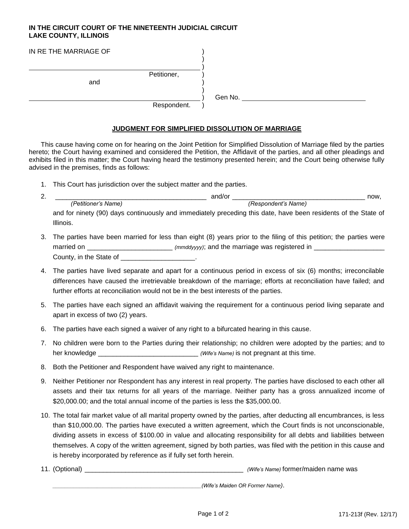## **IN THE CIRCUIT COURT OF THE NINETEENTH JUDICIAL CIRCUIT LAKE COUNTY, ILLINOIS**

| IN RE THE MARRIAGE OF |             |         |
|-----------------------|-------------|---------|
|                       |             |         |
|                       | Petitioner, |         |
| and                   |             |         |
|                       |             | Gen No. |
|                       | Respondent. |         |

## **JUDGMENT FOR SIMPLIFIED DISSOLUTION OF MARRIAGE**

This cause having come on for hearing on the Joint Petition for Simplified Dissolution of Marriage filed by the parties hereto; the Court having examined and considered the Petition, the Affidavit of the parties, and all other pleadings and exhibits filed in this matter; the Court having heard the testimony presented herein; and the Court being otherwise fully advised in the premises, finds as follows:

1. This Court has jurisdiction over the subject matter and the parties.

| ົ<br><u></u> |                     | and/or                                                                                                         | now. |
|--------------|---------------------|----------------------------------------------------------------------------------------------------------------|------|
|              | (Petitioner's Name) | (Respondent's Name)                                                                                            |      |
|              |                     | and for ninety (90) days continuously and immediately preceding this date, have been residents of the State of |      |
|              | Illinois.           |                                                                                                                |      |

- 3. The parties have been married for less than eight (8) years prior to the filing of this petition; the parties were married on \_\_\_\_\_\_\_\_\_\_\_\_\_\_\_\_\_\_\_\_\_\_\_\_\_\_\_\_ *(mmddyyyy)*; and the marriage was registered in \_\_\_\_\_\_\_\_\_\_\_\_\_\_\_\_\_\_\_\_\_\_\_\_ County, in the State of \_\_\_\_\_\_\_\_\_\_\_\_\_\_\_\_\_\_\_\_.
- 4. The parties have lived separate and apart for a continuous period in excess of six (6) months; irreconcilable differences have caused the irretrievable breakdown of the marriage; efforts at reconciliation have failed; and further efforts at reconciliation would not be in the best interests of the parties.
- 5. The parties have each signed an affidavit waiving the requirement for a continuous period living separate and apart in excess of two (2) years.
- 6. The parties have each signed a waiver of any right to a bifurcated hearing in this cause.
- 7. No children were born to the Parties during their relationship; no children were adopted by the parties; and to her knowledge \_\_\_\_\_\_\_\_\_\_\_\_\_\_\_\_\_\_\_\_\_\_\_\_\_\_\_\_\_\_\_\_\_\_ *(Wife's Name)* is not pregnant at this time.
- 8. Both the Petitioner and Respondent have waived any right to maintenance.
- 9. Neither Petitioner nor Respondent has any interest in real property. The parties have disclosed to each other all assets and their tax returns for all years of the marriage. Neither party has a gross annualized income of \$20,000.00; and the total annual income of the parties is less the \$35,000.00.
- 10. The total fair market value of all marital property owned by the parties, after deducting all encumbrances, is less than \$10,000.00. The parties have executed a written agreement, which the Court finds is not unconscionable, dividing assets in excess of \$100.00 in value and allocating responsibility for all debts and liabilities between themselves. A copy of the written agreement, signed by both parties, was filed with the petition in this cause and is hereby incorporated by reference as if fully set forth herein.
- 11. (Optional) \_\_\_\_\_\_\_\_\_\_\_\_\_\_\_\_\_\_\_\_\_\_\_\_\_\_\_\_\_\_\_\_\_\_\_\_\_\_\_\_\_\_\_ *(Wife's Name)* former/maiden name was

*\_\_\_\_\_\_\_\_\_\_\_\_\_\_\_\_\_\_\_\_\_\_\_\_\_\_\_\_\_\_\_\_\_\_\_\_\_\_\_\_\_\_\_\_\_\_\_\_\_\_(Wife's Maiden OR Former Name)*.